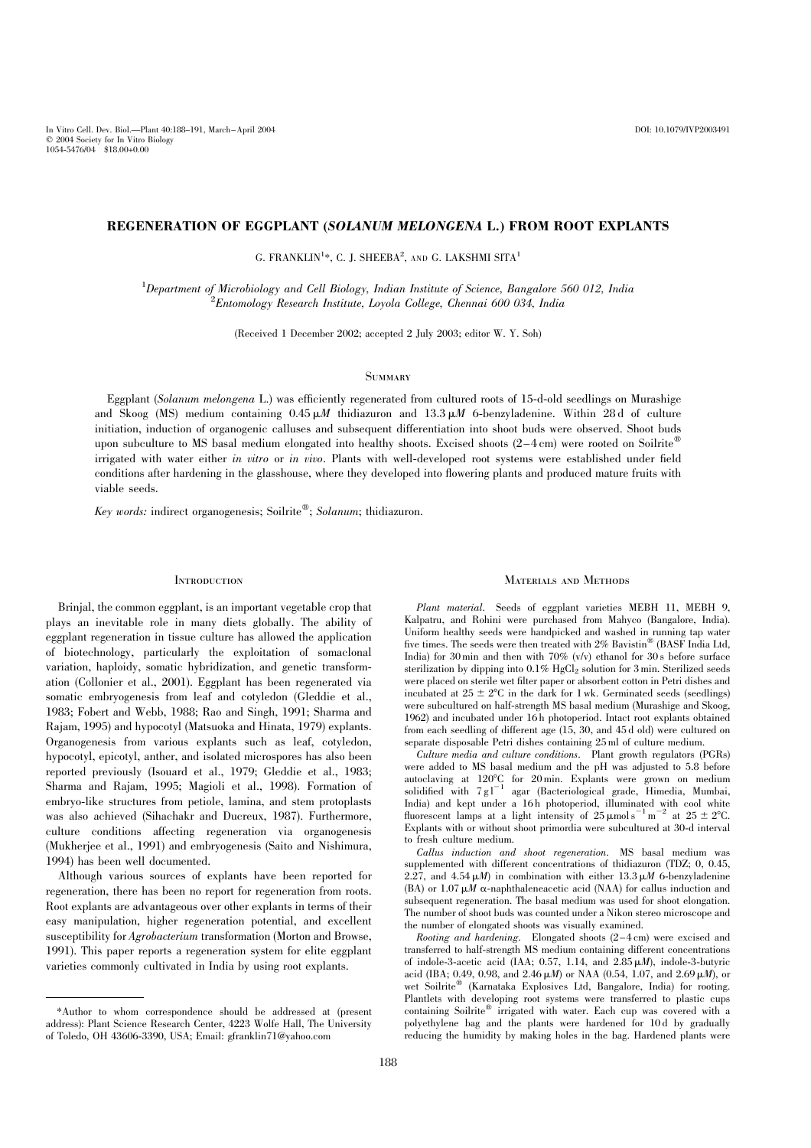# REGENERATION OF EGGPLANT (SOLANUM MELONGENA L.) FROM ROOT EXPLANTS

G. FRANKLIN<sup>1</sup>\*, C. J. SHEEBA<sup>2</sup>, and G. LAKSHMI SITA<sup>1</sup>

<sup>1</sup>Department of Microbiology and Cell Biology, Indian Institute of Science, Bangalore 560 012, India<br><sup>2</sup>Entemplow: Besearch Institute, Loyala College, Channai 600,034, India  ${}^{2}$ Entomology Research Institute, Loyola College, Chennai 600 034, India

(Received 1 December 2002; accepted 2 July 2003; editor W. Y. Soh)

# **SUMMARY**

Eggplant (Solanum melongena L.) was efficiently regenerated from cultured roots of 15-d-old seedlings on Murashige and Skoog (MS) medium containing  $0.45 \mu M$  thidiazuron and  $13.3 \mu M$  6-benzyladenine. Within 28 d of culture initiation, induction of organogenic calluses and subsequent differentiation into shoot buds were observed. Shoot buds upon subculture to MS basal medium elongated into healthy shoots. Excised shoots  $(2-4 \text{ cm})$  were rooted on Soilrite irrigated with water either in vitro or in vivo. Plants with well-developed root systems were established under field conditions after hardening in the glasshouse, where they developed into flowering plants and produced mature fruits with viable seeds.

Key words: indirect organogenesis; Soilrite®; Solanum; thidiazuron.

## **INTRODUCTION**

Brinjal, the common eggplant, is an important vegetable crop that plays an inevitable role in many diets globally. The ability of eggplant regeneration in tissue culture has allowed the application of biotechnology, particularly the exploitation of somaclonal variation, haploidy, somatic hybridization, and genetic transformation (Collonier et al., 2001). Eggplant has been regenerated via somatic embryogenesis from leaf and cotyledon (Gleddie et al., 1983; Fobert and Webb, 1988; Rao and Singh, 1991; Sharma and Rajam, 1995) and hypocotyl (Matsuoka and Hinata, 1979) explants. Organogenesis from various explants such as leaf, cotyledon, hypocotyl, epicotyl, anther, and isolated microspores has also been reported previously (Isouard et al., 1979; Gleddie et al., 1983; Sharma and Rajam, 1995; Magioli et al., 1998). Formation of embryo-like structures from petiole, lamina, and stem protoplasts was also achieved (Sihachakr and Ducreux, 1987). Furthermore, culture conditions affecting regeneration via organogenesis (Mukherjee et al., 1991) and embryogenesis (Saito and Nishimura, 1994) has been well documented.

Although various sources of explants have been reported for regeneration, there has been no report for regeneration from roots. Root explants are advantageous over other explants in terms of their easy manipulation, higher regeneration potential, and excellent susceptibility for Agrobacterium transformation (Morton and Browse, 1991). This paper reports a regeneration system for elite eggplant varieties commonly cultivated in India by using root explants.

### Materials and Methods

Plant material. Seeds of eggplant varieties MEBH 11, MEBH 9, Kalpatru, and Rohini were purchased from Mahyco (Bangalore, India). Uniform healthy seeds were handpicked and washed in running tap water five times. The seeds were then treated with  $2\%$  Bavistin<sup>®</sup> (BASF India Ltd, India) for 30 min and then with  $70\%$  (v/v) ethanol for 30 s before surface sterilization by dipping into  $0.1\%$  HgCl<sub>2</sub> solution for 3 min. Sterilized seeds were placed on sterile wet filter paper or absorbent cotton in Petri dishes and incubated at  $25 \pm 2^{\circ}C$  in the dark for 1 wk. Germinated seeds (seedlings) were subcultured on half-strength MS basal medium (Murashige and Skoog, 1962) and incubated under 16 h photoperiod. Intact root explants obtained from each seedling of different age (15, 30, and 45 d old) were cultured on separate disposable Petri dishes containing 25 ml of culture medium.

Culture media and culture conditions. Plant growth regulators (PGRs) were added to MS basal medium and the pH was adjusted to 5.8 before autoclaving at 120°C for 20 min. Explants were grown on medium<br>solidified with  $7 \text{ g} \text{ l}^{-1}$  agar (Bacteriological grade, Himedia, Mumbai, India) and kept under a 16 h photoperiod, illuminated with cool white fluorescent lamps at a light intensity of  $25 \mu$ mol s<sup>-1</sup> m<sup>-2</sup> at  $25 \pm 2^{\circ}C$ . Explants with or without shoot primordia were subcultured at 30-d interval to fresh culture medium.

Callus induction and shoot regeneration. MS basal medium was supplemented with different concentrations of thidiazuron (TDZ; 0, 0.45, 2.27, and  $4.54 \mu M$ ) in combination with either  $13.3 \mu M$  6-benzyladenine (BA) or 1.07  $\mu$ M  $\alpha$ -naphthaleneacetic acid (NAA) for callus induction and subsequent regeneration. The basal medium was used for shoot elongation. The number of shoot buds was counted under a Nikon stereo microscope and the number of elongated shoots was visually examined.

Rooting and hardening. Elongated shoots (2–4 cm) were excised and transferred to half-strength MS medium containing different concentrations of indole-3-acetic acid (IAA; 0.57, 1.14, and  $2.85 \mu M$ ), indole-3-butyric acid (IBA; 0.49, 0.98, and 2.46  $\mu$ *M*) or NAA (0.54, 1.07, and 2.69  $\mu$ *M*), or wet Soilrite<sup>®</sup> (Karnataka Explosives Ltd, Bangalore, India) for rooting. Plantlets with developing root systems were transferred to plastic cups containing Soilrite<sup>®</sup> irrigated with water. Each cup was covered with a polyethylene bag and the plants were hardened for 10 d by gradually reducing the humidity by making holes in the bag. Hardened plants were

<sup>\*</sup>Author to whom correspondence should be addressed at (present address): Plant Science Research Center, 4223 Wolfe Hall, The University of Toledo, OH 43606-3390, USA; Email: gfranklin71@yahoo.com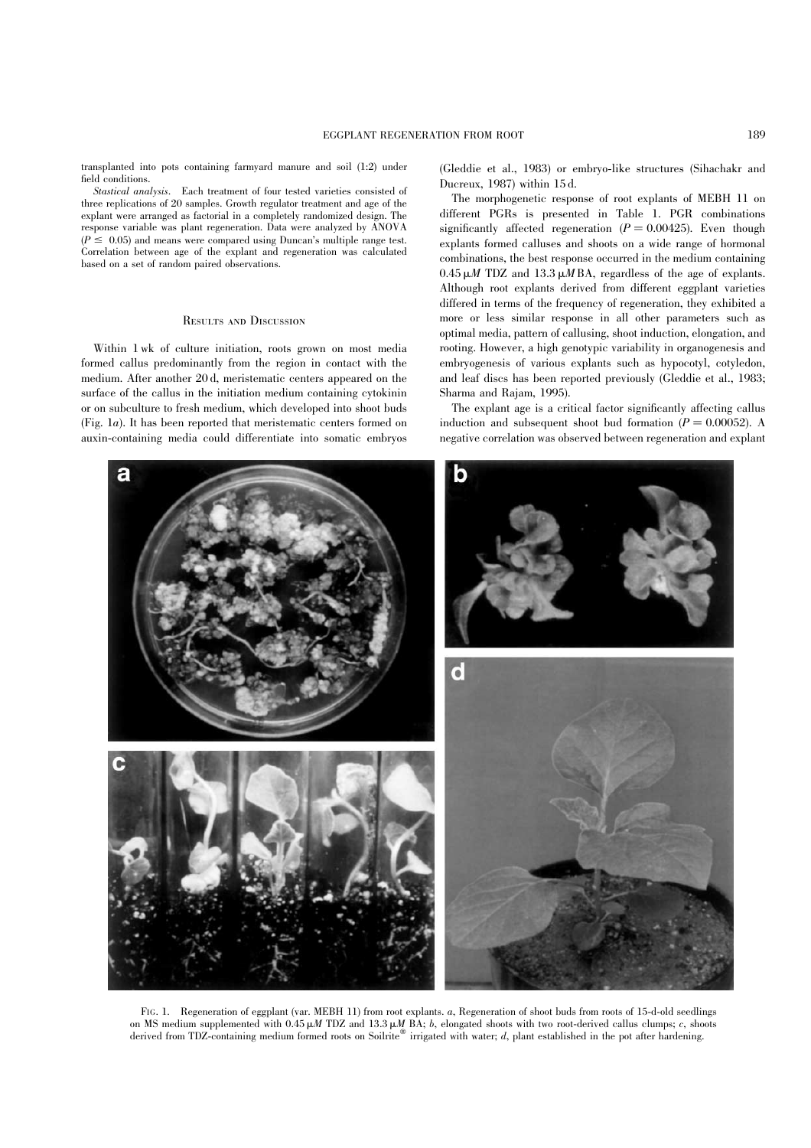<span id="page-1-0"></span>transplanted into pots containing farmyard manure and soil (1:2) under field conditions.

Stastical analysis. Each treatment of four tested varieties consisted of three replications of 20 samples. Growth regulator treatment and age of the explant were arranged as factorial in a completely randomized design. The response variable was plant regeneration. Data were analyzed by ANOVA  $(P \le 0.05)$  and means were compared using Duncan's multiple range test. Correlation between age of the explant and regeneration was calculated based on a set of random paired observations.

## Results and Discussion

Within 1 wk of culture initiation, roots grown on most media formed callus predominantly from the region in contact with the medium. After another 20 d, meristematic centers appeared on the surface of the callus in the initiation medium containing cytokinin or on subculture to fresh medium, which developed into shoot buds (Fig. 1a). It has been reported that meristematic centers formed on auxin-containing media could differentiate into somatic embryos (Gleddie et al., 1983) or embryo-like structures (Sihachakr and Ducreux, 1987) within 15 d.

The morphogenetic response of root explants of MEBH 11 on different PGRs is presented in [Table 1.](#page-2-0) PGR combinations significantly affected regeneration  $(P = 0.00425)$ . Even though explants formed calluses and shoots on a wide range of hormonal combinations, the best response occurred in the medium containing  $0.45 \mu M$  TDZ and 13.3  $\mu$ MBA, regardless of the age of explants. Although root explants derived from different eggplant varieties differed in terms of the frequency of regeneration, they exhibited a more or less similar response in all other parameters such as optimal media, pattern of callusing, shoot induction, elongation, and rooting. However, a high genotypic variability in organogenesis and embryogenesis of various explants such as hypocotyl, cotyledon, and leaf discs has been reported previously (Gleddie et al., 1983; Sharma and Rajam, 1995).

The explant age is a critical factor significantly affecting callus induction and subsequent shoot bud formation  $(P = 0.00052)$ . A negative correlation was observed between regeneration and explant



on MS medium supplemented with  $0.45 \mu M$  TDZ and  $13.3 \mu M$  BA; b, elongated shoots with two root-derived callus clumps; c, shoots derived from TDZ-containing medium formed roots on Soilrite® irrigated with water;  $d$ , plant established in the pot after hardening.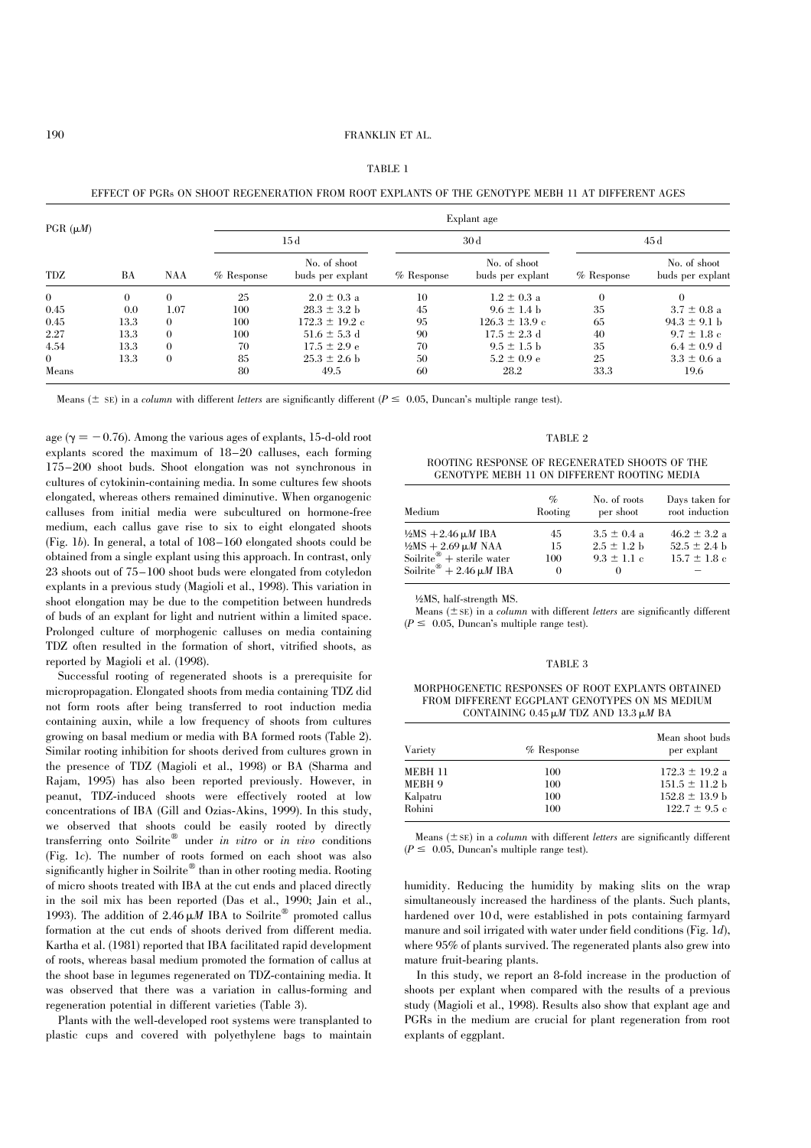|--|--|--|--|--|

<span id="page-2-0"></span>EFFECT OF PGRs ON SHOOT REGENERATION FROM ROOT EXPLANTS OF THE GENOTYPE MEBH 11 AT DIFFERENT AGES

| PGR $(\mu M)$  |      |          | Explant age      |                                  |              |                                  |              |                                  |
|----------------|------|----------|------------------|----------------------------------|--------------|----------------------------------|--------------|----------------------------------|
|                |      |          | $15\,\mathrm{d}$ |                                  | 30d          |                                  | 45 d         |                                  |
| TDZ            | BA   | NAA      | $%$ Response     | No. of shoot<br>buds per explant | $%$ Response | No. of shoot<br>buds per explant | $%$ Response | No. of shoot<br>buds per explant |
| $\overline{0}$ | 0    | $\Omega$ | 25               | $2.0 \pm 0.3$ a                  | 10           | $1.2 \pm 0.3$ a                  | $\theta$     | $\Omega$                         |
| 0.45           | 0.0  | 1.07     | 100              | $28.3 \pm 3.2$ b                 | 45           | $9.6 \pm 1.4$ b                  | 35           | $3.7 \pm 0.8$ a                  |
| 0.45           | 13.3 | $\theta$ | 100              | $172.3 \pm 19.2$ c               | 95           | $126.3 \pm 13.9$ c               | 65           | $94.3 \pm 9.1$ h                 |
| 2.27           | 13.3 | $\Omega$ | 100              | $51.6 \pm 5.3$ d                 | 90           | $17.5 \pm 2.3$ d                 | 40           | $9.7 \pm 1.8$ c                  |
| 4.54           | 13.3 | $\Omega$ | 70               | $17.5 \pm 2.9 e$                 | 70           | $9.5 \pm 1.5$ b                  | 35           | $6.4 \pm 0.9$ d                  |
| $\bf{0}$       | 13.3 | $\theta$ | 85               | $25.3 \pm 2.6$ b                 | 50           | $5.2 \pm 0.9 e$                  | 25           | $3.3 \pm 0.6$ a                  |
| Means          |      |          | 80               | 49.5                             | 60           | 28.2                             | 33.3         | 19.6                             |

Means ( $\pm$  SE) in a column with different letters are significantly different ( $P \le 0.05$ , Duncan's multiple range test).

age ( $\gamma = -0.76$ ). Among the various ages of explants, 15-d-old root explants scored the maximum of 18–20 calluses, each forming 175–200 shoot buds. Shoot elongation was not synchronous in cultures of cytokinin-containing media. In some cultures few shoots elongated, whereas others remained diminutive. When organogenic calluses from initial media were subcultured on hormone-free medium, each callus gave rise to six to eight elongated shoots [\(Fig. 1](#page-1-0)b). In general, a total of 108–160 elongated shoots could be obtained from a single explant using this approach. In contrast, only 23 shoots out of 75–100 shoot buds were elongated from cotyledon explants in a previous study (Magioli et al., 1998). This variation in shoot elongation may be due to the competition between hundreds of buds of an explant for light and nutrient within a limited space. Prolonged culture of morphogenic calluses on media containing TDZ often resulted in the formation of short, vitrified shoots, as reported by Magioli et al. (1998).

Successful rooting of regenerated shoots is a prerequisite for micropropagation. Elongated shoots from media containing TDZ did not form roots after being transferred to root induction media containing auxin, while a low frequency of shoots from cultures growing on basal medium or media with BA formed roots (Table 2). Similar rooting inhibition for shoots derived from cultures grown in the presence of TDZ (Magioli et al., 1998) or BA (Sharma and Rajam, 1995) has also been reported previously. However, in peanut, TDZ-induced shoots were effectively rooted at low concentrations of IBA (Gill and Ozias-Akins, 1999). In this study, we observed that shoots could be easily rooted by directly transferring onto Soilrite<sup>®</sup> under in vitro or in vivo conditions [\(Fig. 1](#page-1-0)c). The number of roots formed on each shoot was also significantly higher in Soilrite® than in other rooting media. Rooting of micro shoots treated with IBA at the cut ends and placed directly in the soil mix has been reported (Das et al., 1990; Jain et al., 1993). The addition of  $2.46 \mu M$  IBA to Soilrite<sup>®</sup> promoted callus formation at the cut ends of shoots derived from different media. Kartha et al. (1981) reported that IBA facilitated rapid development of roots, whereas basal medium promoted the formation of callus at the shoot base in legumes regenerated on TDZ-containing media. It was observed that there was a variation in callus-forming and regeneration potential in different varieties (Table 3).

Plants with the well-developed root systems were transplanted to plastic cups and covered with polyethylene bags to maintain

## TABLE 2

### ROOTING RESPONSE OF REGENERATED SHOOTS OF THE GENOTYPE MEBH 11 ON DIFFERENT ROOTING MEDIA

| Medium                                                       | $\%$<br>Rooting | No. of roots<br>per shoot | Days taken for<br>root induction |
|--------------------------------------------------------------|-----------------|---------------------------|----------------------------------|
| $\frac{1}{2}MS + 2.46 \mu M$ IBA                             | 45              | $3.5 \pm 0.4$ a           | $46.2 \pm 3.2$ a                 |
| $\frac{1}{2}MS + 2.69 \mu M NAA$                             | 15              | $2.5 \pm 1.2$ b           | $52.5 \pm 2.4$ b                 |
| Soilrite <sup><math>\mathscr{B}</math></sup> + sterile water | 100             | $9.3 \pm 1.1$ c           | $15.7 \pm 1.8$ c                 |
| Soilrite <sup>®</sup> + 2.46 $\mu$ <i>M</i> IBA              | $\Omega$        | $\theta$                  |                                  |

½MS, half-strength MS.

Means  $(\pm sE)$  in a *column* with different *letters* are significantly different  $(P \leq 0.05,$  Duncan's multiple range test).

#### TABLE 3

MORPHOGENETIC RESPONSES OF ROOT EXPLANTS OBTAINED FROM DIFFERENT EGGPLANT GENOTYPES ON MS MEDIUM CONTAINING 0.45  $\mu$ M TDZ AND 13.3  $\mu$ M BA

| Variety  | % Response | Mean shoot buds<br>per explant |
|----------|------------|--------------------------------|
| MEBH 11  | 100        | $172.3 \pm 19.2$ a             |
| MEBH 9   | 100        | $151.5 \pm 11.2$ b             |
| Kalpatru | 100        | $152.8 \pm 13.9$ b             |
| Rohini   | 100        | $122.7 \pm 9.5$ c              |

Means  $(\pm sE)$  in a *column* with different *letters* are significantly different  $(P \leq 0.05,$  Duncan's multiple range test).

humidity. Reducing the humidity by making slits on the wrap simultaneously increased the hardiness of the plants. Such plants, hardened over 10 d, were established in pots containing farmyard manure and soil irrigated with water under field conditions (Fig.  $1d$ ), where 95% of plants survived. The regenerated plants also grew into mature fruit-bearing plants.

In this study, we report an 8-fold increase in the production of shoots per explant when compared with the results of a previous study (Magioli et al., 1998). Results also show that explant age and PGRs in the medium are crucial for plant regeneration from root explants of eggplant.